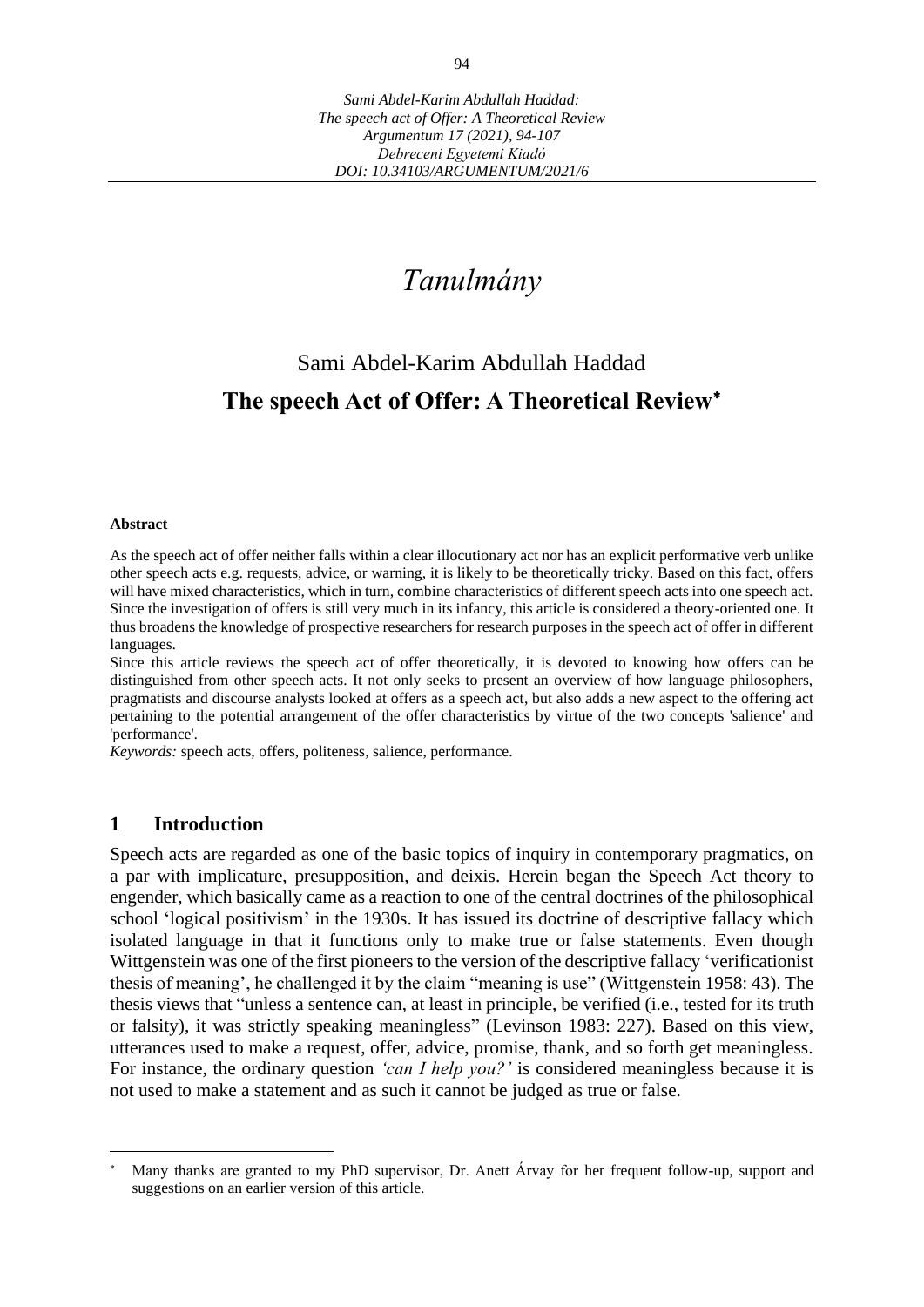# *Tanulmány*

# Sami Abdel-Karim Abdullah Haddad **The speech Act of Offer: A Theoretical Review**

### **Abstract**

As the speech act of offer neither falls within a clear illocutionary act nor has an explicit performative verb unlike other speech acts e.g. requests, advice, or warning, it is likely to be theoretically tricky. Based on this fact, offers will have mixed characteristics, which in turn, combine characteristics of different speech acts into one speech act. Since the investigation of offers is still very much in its infancy, this article is considered a theory-oriented one. It thus broadens the knowledge of prospective researchers for research purposes in the speech act of offer in different languages.

Since this article reviews the speech act of offer theoretically, it is devoted to knowing how offers can be distinguished from other speech acts. It not only seeks to present an overview of how language philosophers, pragmatists and discourse analysts looked at offers as a speech act, but also adds a new aspect to the offering act pertaining to the potential arrangement of the offer characteristics by virtue of the two concepts 'salience' and 'performance'.

*Keywords:* speech acts, offers, politeness, salience, performance.

## **1 Introduction**

Speech acts are regarded as one of the basic topics of inquiry in contemporary pragmatics, on a par with implicature, presupposition, and deixis. Herein began the Speech Act theory to engender, which basically came as a reaction to one of the central doctrines of the philosophical school 'logical positivism' in the 1930s. It has issued its doctrine of descriptive fallacy which isolated language in that it functions only to make true or false statements. Even though Wittgenstein was one of the first pioneers to the version of the descriptive fallacy 'verificationist thesis of meaning', he challenged it by the claim "meaning is use" (Wittgenstein 1958: 43). The thesis views that "unless a sentence can, at least in principle, be verified (i.e., tested for its truth or falsity), it was strictly speaking meaningless" (Levinson 1983: 227). Based on this view, utterances used to make a request, offer, advice, promise, thank, and so forth get meaningless. For instance, the ordinary question *'can I help you?'* is considered meaningless because it is not used to make a statement and as such it cannot be judged as true or false.

Many thanks are granted to my PhD supervisor, Dr. Anett Árvay for her frequent follow-up, support and suggestions on an earlier version of this article.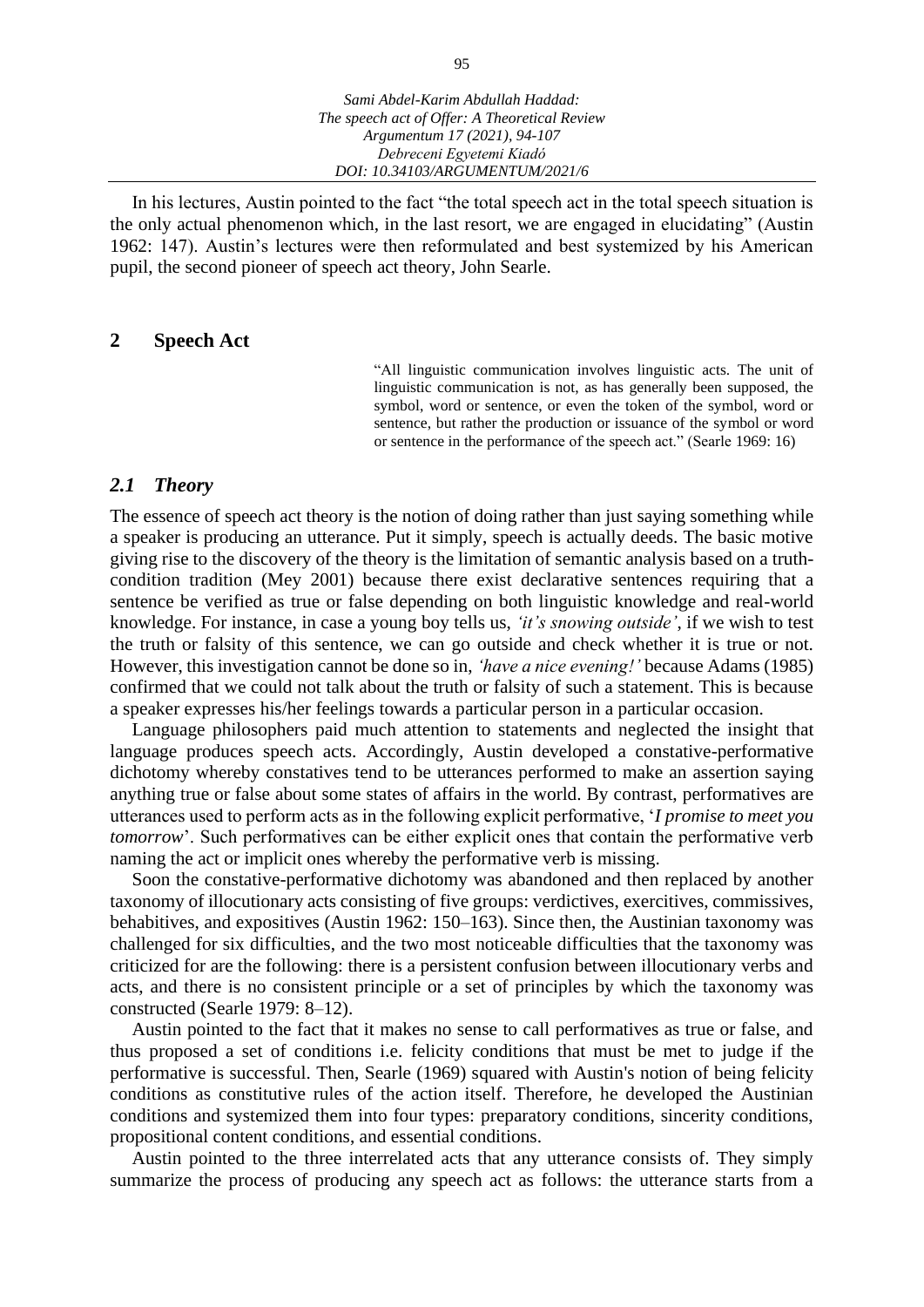In his lectures, Austin pointed to the fact "the total speech act in the total speech situation is the only actual phenomenon which, in the last resort, we are engaged in elucidating" (Austin 1962: 147). Austin's lectures were then reformulated and best systemized by his American pupil, the second pioneer of speech act theory, John Searle.

### **2 Speech Act**

"All linguistic communication involves linguistic acts. The unit of linguistic communication is not, as has generally been supposed, the symbol, word or sentence, or even the token of the symbol, word or sentence, but rather the production or issuance of the symbol or word or sentence in the performance of the speech act." (Searle 1969: 16)

### *2.1 Theory*

The essence of speech act theory is the notion of doing rather than just saying something while a speaker is producing an utterance. Put it simply, speech is actually deeds. The basic motive giving rise to the discovery of the theory is the limitation of semantic analysis based on a truthcondition tradition (Mey 2001) because there exist declarative sentences requiring that a sentence be verified as true or false depending on both linguistic knowledge and real-world knowledge. For instance, in case a young boy tells us, *'it's snowing outside'*, if we wish to test the truth or falsity of this sentence, we can go outside and check whether it is true or not. However, this investigation cannot be done so in, *'have a nice evening!'* because Adams (1985) confirmed that we could not talk about the truth or falsity of such a statement. This is because a speaker expresses his/her feelings towards a particular person in a particular occasion.

Language philosophers paid much attention to statements and neglected the insight that language produces speech acts. Accordingly, Austin developed a constative-performative dichotomy whereby constatives tend to be utterances performed to make an assertion saying anything true or false about some states of affairs in the world. By contrast, performatives are utterances used to perform acts as in the following explicit performative, '*I promise to meet you tomorrow*'. Such performatives can be either explicit ones that contain the performative verb naming the act or implicit ones whereby the performative verb is missing.

Soon the constative-performative dichotomy was abandoned and then replaced by another taxonomy of illocutionary acts consisting of five groups: verdictives, exercitives, commissives, behabitives, and expositives (Austin 1962: 150–163). Since then, the Austinian taxonomy was challenged for six difficulties, and the two most noticeable difficulties that the taxonomy was criticized for are the following: there is a persistent confusion between illocutionary verbs and acts, and there is no consistent principle or a set of principles by which the taxonomy was constructed (Searle 1979: 8–12).

Austin pointed to the fact that it makes no sense to call performatives as true or false, and thus proposed a set of conditions i.e. felicity conditions that must be met to judge if the performative is successful. Then, Searle (1969) squared with Austin's notion of being felicity conditions as constitutive rules of the action itself. Therefore, he developed the Austinian conditions and systemized them into four types: preparatory conditions, sincerity conditions, propositional content conditions, and essential conditions.

Austin pointed to the three interrelated acts that any utterance consists of. They simply summarize the process of producing any speech act as follows: the utterance starts from a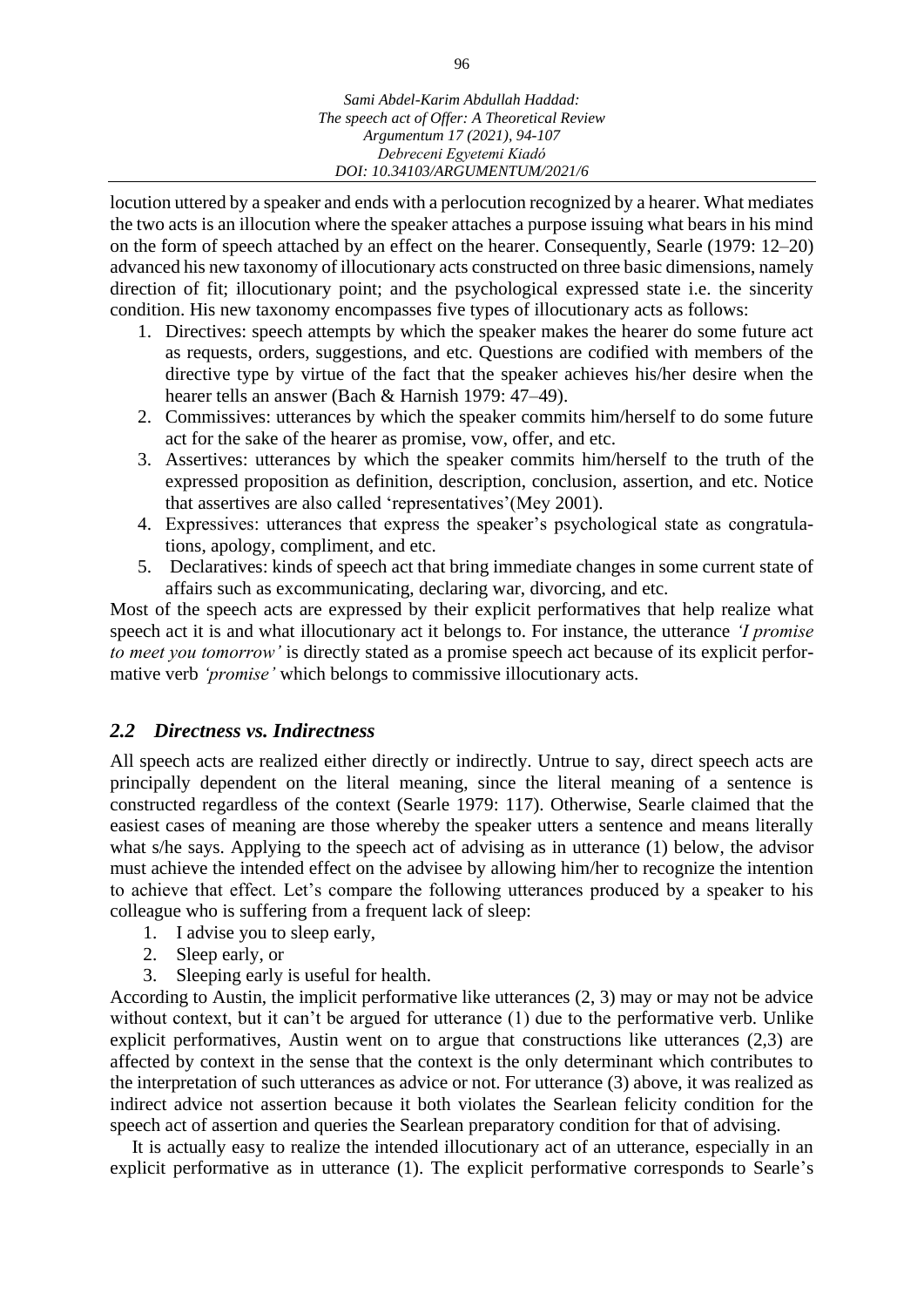locution uttered by a speaker and ends with a perlocution recognized by a hearer. What mediates the two acts is an illocution where the speaker attaches a purpose issuing what bears in his mind on the form of speech attached by an effect on the hearer. Consequently, Searle (1979: 12–20) advanced his new taxonomy of illocutionary acts constructed on three basic dimensions, namely direction of fit; illocutionary point; and the psychological expressed state i.e. the sincerity condition. His new taxonomy encompasses five types of illocutionary acts as follows:

- 1. Directives: speech attempts by which the speaker makes the hearer do some future act as requests, orders, suggestions, and etc. Questions are codified with members of the directive type by virtue of the fact that the speaker achieves his/her desire when the hearer tells an answer (Bach & Harnish 1979: 47–49).
- 2. Commissives: utterances by which the speaker commits him/herself to do some future act for the sake of the hearer as promise, vow, offer, and etc.
- 3. Assertives: utterances by which the speaker commits him/herself to the truth of the expressed proposition as definition, description, conclusion, assertion, and etc. Notice that assertives are also called 'representatives'(Mey 2001).
- 4. Expressives: utterances that express the speaker's psychological state as congratulations, apology, compliment, and etc.
- 5. Declaratives: kinds of speech act that bring immediate changes in some current state of affairs such as excommunicating, declaring war, divorcing, and etc.

Most of the speech acts are expressed by their explicit performatives that help realize what speech act it is and what illocutionary act it belongs to. For instance, the utterance *'I promise to meet you tomorrow'* is directly stated as a promise speech act because of its explicit performative verb *'promise'* which belongs to commissive illocutionary acts.

## *2.2 Directness vs. Indirectness*

All speech acts are realized either directly or indirectly. Untrue to say, direct speech acts are principally dependent on the literal meaning, since the literal meaning of a sentence is constructed regardless of the context (Searle 1979: 117). Otherwise, Searle claimed that the easiest cases of meaning are those whereby the speaker utters a sentence and means literally what s/he says. Applying to the speech act of advising as in utterance (1) below, the advisor must achieve the intended effect on the advisee by allowing him/her to recognize the intention to achieve that effect. Let's compare the following utterances produced by a speaker to his colleague who is suffering from a frequent lack of sleep:

- 1. I advise you to sleep early,
- 2. Sleep early, or
- 3. Sleeping early is useful for health.

According to Austin, the implicit performative like utterances (2, 3) may or may not be advice without context, but it can't be argued for utterance (1) due to the performative verb. Unlike explicit performatives, Austin went on to argue that constructions like utterances (2,3) are affected by context in the sense that the context is the only determinant which contributes to the interpretation of such utterances as advice or not. For utterance (3) above, it was realized as indirect advice not assertion because it both violates the Searlean felicity condition for the speech act of assertion and queries the Searlean preparatory condition for that of advising.

It is actually easy to realize the intended illocutionary act of an utterance, especially in an explicit performative as in utterance (1). The explicit performative corresponds to Searle's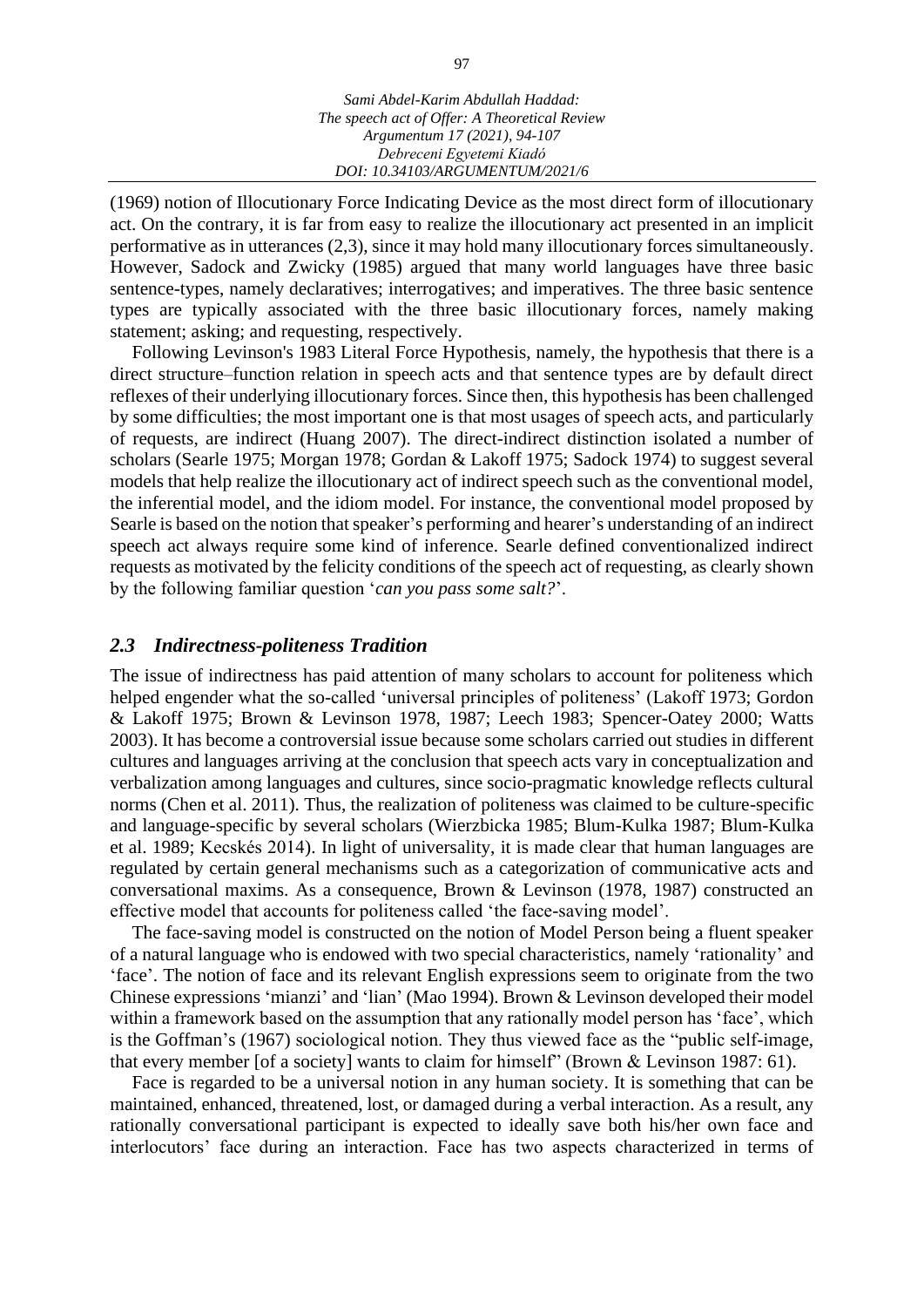(1969) notion of Illocutionary Force Indicating Device as the most direct form of illocutionary act. On the contrary, it is far from easy to realize the illocutionary act presented in an implicit performative as in utterances (2,3), since it may hold many illocutionary forces simultaneously. However, Sadock and Zwicky (1985) argued that many world languages have three basic sentence-types, namely declaratives; interrogatives; and imperatives. The three basic sentence types are typically associated with the three basic illocutionary forces, namely making statement; asking; and requesting, respectively.

Following Levinson's 1983 Literal Force Hypothesis, namely, the hypothesis that there is a direct structure–function relation in speech acts and that sentence types are by default direct reflexes of their underlying illocutionary forces. Since then, this hypothesis has been challenged by some difficulties; the most important one is that most usages of speech acts, and particularly of requests, are indirect (Huang 2007). The direct-indirect distinction isolated a number of scholars (Searle 1975; Morgan 1978; Gordan & Lakoff 1975; Sadock 1974) to suggest several models that help realize the illocutionary act of indirect speech such as the conventional model, the inferential model, and the idiom model. For instance, the conventional model proposed by Searle is based on the notion that speaker's performing and hearer's understanding of an indirect speech act always require some kind of inference. Searle defined conventionalized indirect requests as motivated by the felicity conditions of the speech act of requesting, as clearly shown by the following familiar question '*can you pass some salt?*'.

### *2.3 Indirectness-politeness Tradition*

The issue of indirectness has paid attention of many scholars to account for politeness which helped engender what the so-called 'universal principles of politeness' (Lakoff 1973; Gordon & Lakoff 1975; Brown & Levinson 1978, 1987; Leech 1983; Spencer-Oatey 2000; Watts 2003). It has become a controversial issue because some scholars carried out studies in different cultures and languages arriving at the conclusion that speech acts vary in conceptualization and verbalization among languages and cultures, since socio-pragmatic knowledge reflects cultural norms (Chen et al. 2011). Thus, the realization of politeness was claimed to be culture-specific and language-specific by several scholars (Wierzbicka 1985; Blum-Kulka 1987; Blum-Kulka et al. 1989; Kecskés 2014). In light of universality, it is made clear that human languages are regulated by certain general mechanisms such as a categorization of communicative acts and conversational maxims. As a consequence, Brown & Levinson (1978, 1987) constructed an effective model that accounts for politeness called 'the face-saving model'.

The face-saving model is constructed on the notion of Model Person being a fluent speaker of a natural language who is endowed with two special characteristics, namely 'rationality' and 'face'. The notion of face and its relevant English expressions seem to originate from the two Chinese expressions 'mianzi' and 'lian' (Mao 1994). Brown & Levinson developed their model within a framework based on the assumption that any rationally model person has 'face', which is the Goffman's (1967) sociological notion. They thus viewed face as the "public self-image, that every member [of a society] wants to claim for himself" (Brown & Levinson 1987: 61).

Face is regarded to be a universal notion in any human society. It is something that can be maintained, enhanced, threatened, lost, or damaged during a verbal interaction. As a result, any rationally conversational participant is expected to ideally save both his/her own face and interlocutors' face during an interaction. Face has two aspects characterized in terms of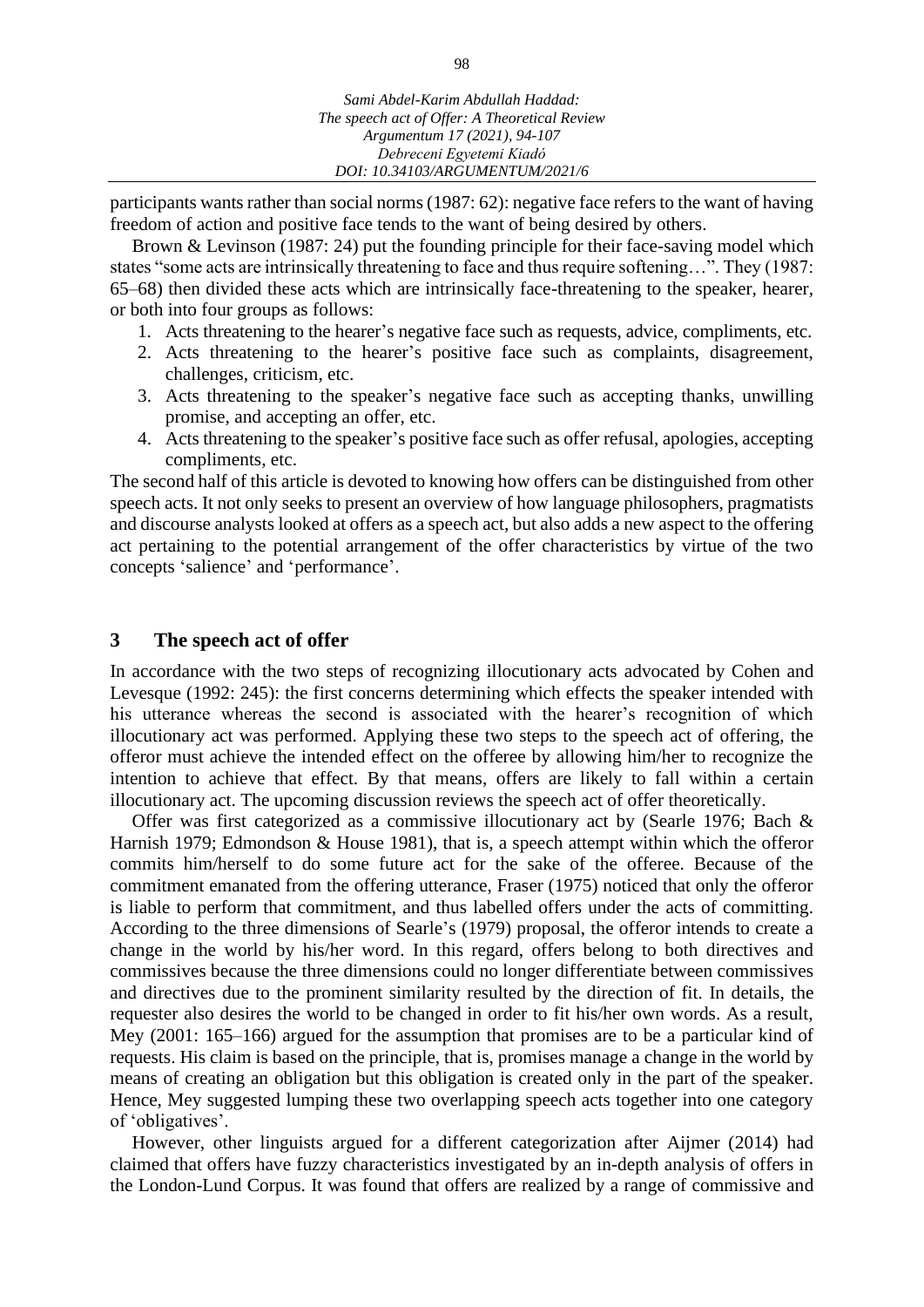participants wants rather than social norms (1987: 62): negative face refers to the want of having freedom of action and positive face tends to the want of being desired by others.

Brown & Levinson (1987: 24) put the founding principle for their face-saving model which states "some acts are intrinsically threatening to face and thus require softening…". They (1987: 65–68) then divided these acts which are intrinsically face-threatening to the speaker, hearer, or both into four groups as follows:

- 1. Acts threatening to the hearer's negative face such as requests, advice, compliments, etc.
- 2. Acts threatening to the hearer's positive face such as complaints, disagreement, challenges, criticism, etc.
- 3. Acts threatening to the speaker's negative face such as accepting thanks, unwilling promise, and accepting an offer, etc.
- 4. Acts threatening to the speaker's positive face such as offer refusal, apologies, accepting compliments, etc.

The second half of this article is devoted to knowing how offers can be distinguished from other speech acts. It not only seeks to present an overview of how language philosophers, pragmatists and discourse analysts looked at offers as a speech act, but also adds a new aspect to the offering act pertaining to the potential arrangement of the offer characteristics by virtue of the two concepts 'salience' and 'performance'.

### **3 The speech act of offer**

In accordance with the two steps of recognizing illocutionary acts advocated by Cohen and Levesque (1992: 245): the first concerns determining which effects the speaker intended with his utterance whereas the second is associated with the hearer's recognition of which illocutionary act was performed. Applying these two steps to the speech act of offering, the offeror must achieve the intended effect on the offeree by allowing him/her to recognize the intention to achieve that effect. By that means, offers are likely to fall within a certain illocutionary act. The upcoming discussion reviews the speech act of offer theoretically.

Offer was first categorized as a commissive illocutionary act by (Searle 1976; Bach & Harnish 1979; Edmondson & House 1981), that is, a speech attempt within which the offeror commits him/herself to do some future act for the sake of the offeree. Because of the commitment emanated from the offering utterance, Fraser (1975) noticed that only the offeror is liable to perform that commitment, and thus labelled offers under the acts of committing. According to the three dimensions of Searle's (1979) proposal, the offeror intends to create a change in the world by his/her word. In this regard, offers belong to both directives and commissives because the three dimensions could no longer differentiate between commissives and directives due to the prominent similarity resulted by the direction of fit. In details, the requester also desires the world to be changed in order to fit his/her own words. As a result, Mey (2001: 165–166) argued for the assumption that promises are to be a particular kind of requests. His claim is based on the principle, that is, promises manage a change in the world by means of creating an obligation but this obligation is created only in the part of the speaker. Hence, Mey suggested lumping these two overlapping speech acts together into one category of 'obligatives'.

However, other linguists argued for a different categorization after Aijmer (2014) had claimed that offers have fuzzy characteristics investigated by an in-depth analysis of offers in the London-Lund Corpus. It was found that offers are realized by a range of commissive and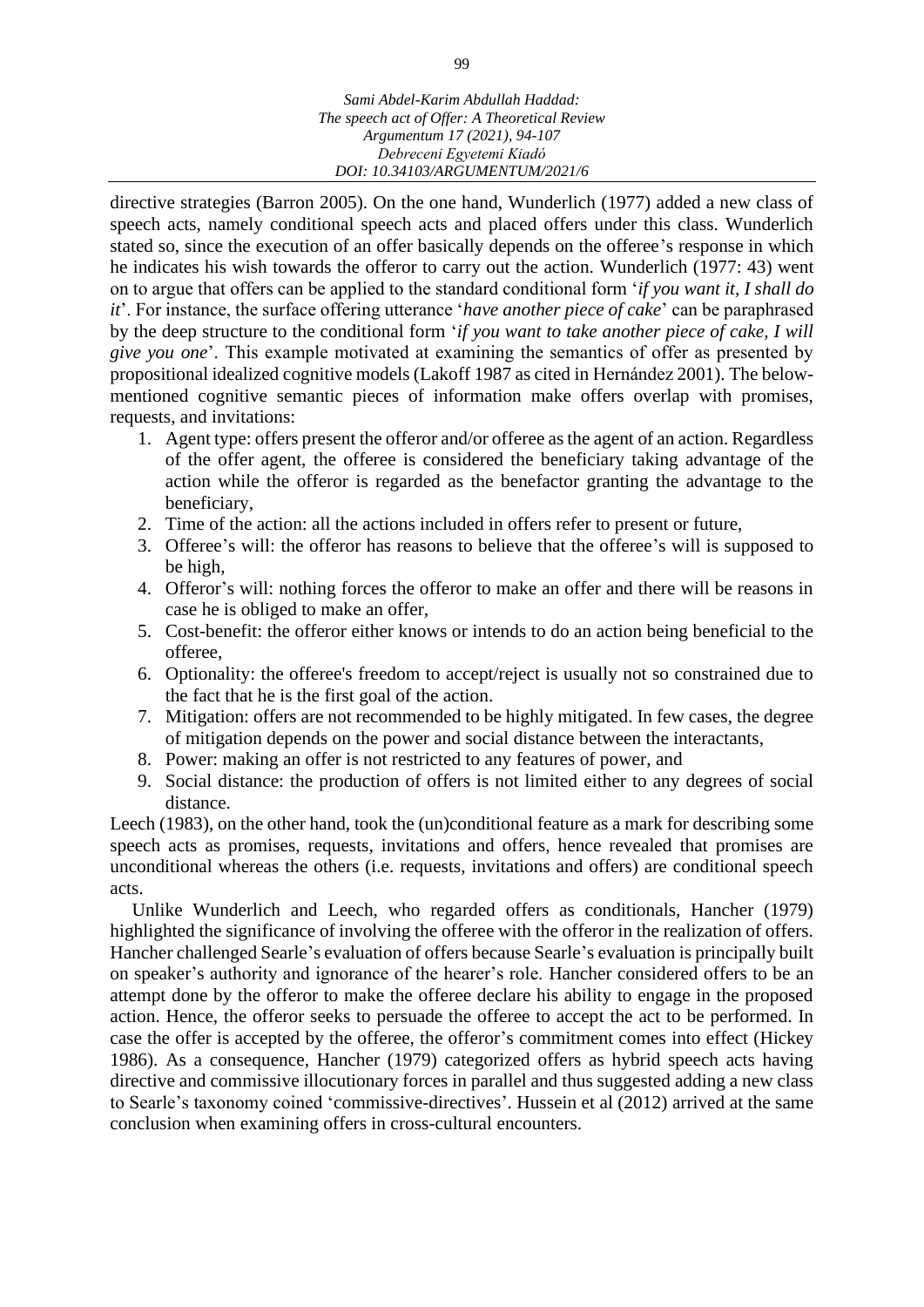directive strategies (Barron 2005). On the one hand, Wunderlich (1977) added a new class of speech acts, namely conditional speech acts and placed offers under this class. Wunderlich stated so, since the execution of an offer basically depends on the offeree's response in which he indicates his wish towards the offeror to carry out the action. Wunderlich (1977: 43) went on to argue that offers can be applied to the standard conditional form '*if you want it, I shall do it*'. For instance, the surface offering utterance '*have another piece of cake*' can be paraphrased by the deep structure to the conditional form '*if you want to take another piece of cake, I will give you one*'. This example motivated at examining the semantics of offer as presented by propositional idealized cognitive models (Lakoff 1987 as cited in Hernández 2001). The belowmentioned cognitive semantic pieces of information make offers overlap with promises, requests, and invitations:

- 1. Agent type: offers present the offeror and/or offeree as the agent of an action. Regardless of the offer agent, the offeree is considered the beneficiary taking advantage of the action while the offeror is regarded as the benefactor granting the advantage to the beneficiary,
- 2. Time of the action: all the actions included in offers refer to present or future,
- 3. Offeree's will: the offeror has reasons to believe that the offeree's will is supposed to be high,
- 4. Offeror's will: nothing forces the offeror to make an offer and there will be reasons in case he is obliged to make an offer,
- 5. Cost-benefit: the offeror either knows or intends to do an action being beneficial to the offeree,
- 6. Optionality: the offeree's freedom to accept/reject is usually not so constrained due to the fact that he is the first goal of the action.
- 7. Mitigation: offers are not recommended to be highly mitigated. In few cases, the degree of mitigation depends on the power and social distance between the interactants,
- 8. Power: making an offer is not restricted to any features of power, and
- 9. Social distance: the production of offers is not limited either to any degrees of social distance.

Leech (1983), on the other hand, took the (un)conditional feature as a mark for describing some speech acts as promises, requests, invitations and offers, hence revealed that promises are unconditional whereas the others (i.e. requests, invitations and offers) are conditional speech acts.

Unlike Wunderlich and Leech, who regarded offers as conditionals, Hancher (1979) highlighted the significance of involving the offeree with the offeror in the realization of offers. Hancher challenged Searle's evaluation of offers because Searle's evaluation is principally built on speaker's authority and ignorance of the hearer's role. Hancher considered offers to be an attempt done by the offeror to make the offeree declare his ability to engage in the proposed action. Hence, the offeror seeks to persuade the offeree to accept the act to be performed. In case the offer is accepted by the offeree, the offeror's commitment comes into effect (Hickey 1986). As a consequence, Hancher (1979) categorized offers as hybrid speech acts having directive and commissive illocutionary forces in parallel and thus suggested adding a new class to Searle's taxonomy coined 'commissive-directives'. Hussein et al (2012) arrived at the same conclusion when examining offers in cross-cultural encounters.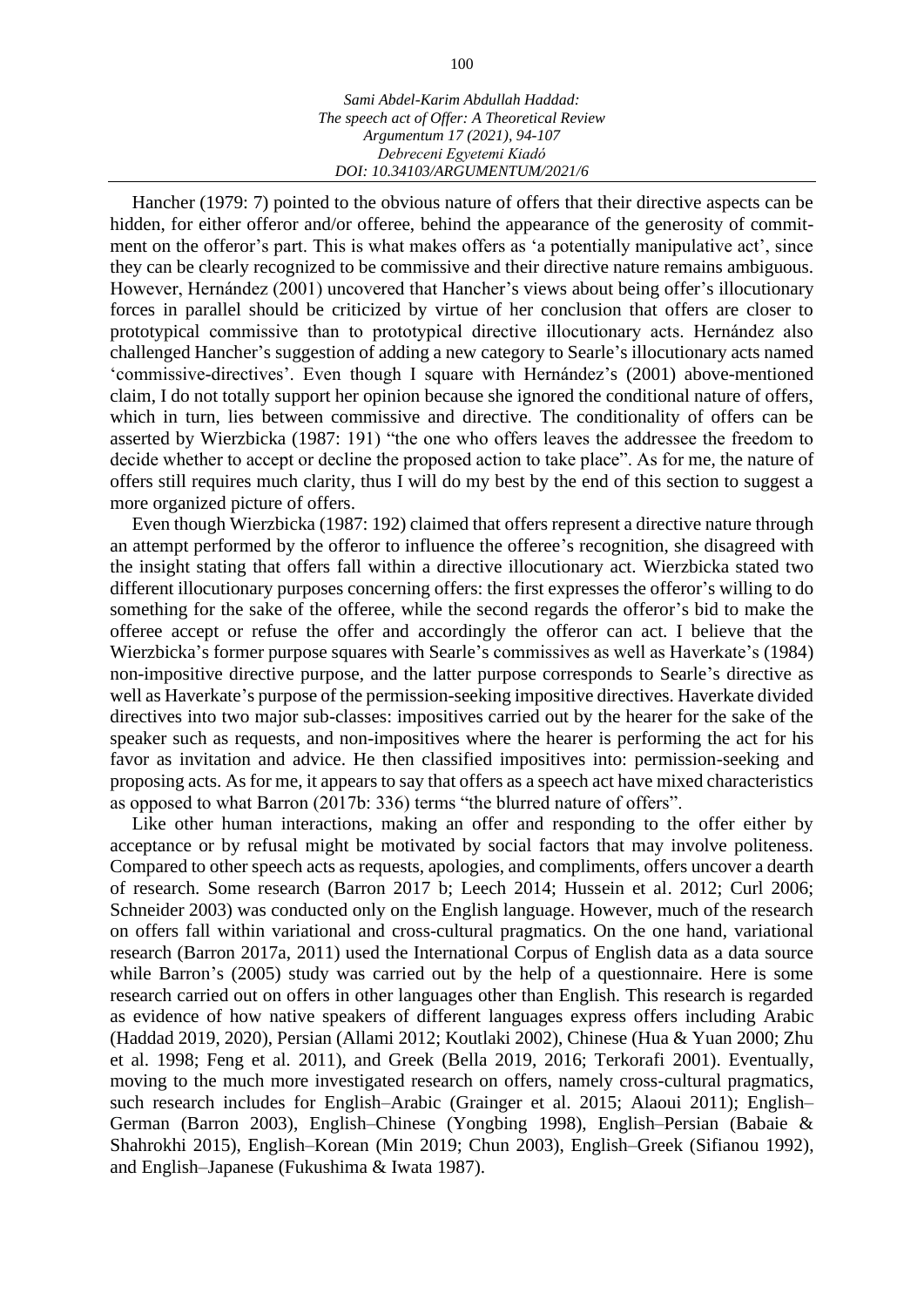Hancher (1979: 7) pointed to the obvious nature of offers that their directive aspects can be hidden, for either offeror and/or offeree, behind the appearance of the generosity of commitment on the offeror's part. This is what makes offers as 'a potentially manipulative act', since they can be clearly recognized to be commissive and their directive nature remains ambiguous. However, Hernández (2001) uncovered that Hancher's views about being offer's illocutionary forces in parallel should be criticized by virtue of her conclusion that offers are closer to prototypical commissive than to prototypical directive illocutionary acts. Hernández also challenged Hancher's suggestion of adding a new category to Searle's illocutionary acts named 'commissive-directives'. Even though I square with Hernández's (2001) above-mentioned claim, I do not totally support her opinion because she ignored the conditional nature of offers, which in turn, lies between commissive and directive. The conditionality of offers can be asserted by Wierzbicka (1987: 191) "the one who offers leaves the addressee the freedom to decide whether to accept or decline the proposed action to take place". As for me, the nature of offers still requires much clarity, thus I will do my best by the end of this section to suggest a more organized picture of offers.

Even though Wierzbicka (1987: 192) claimed that offers represent a directive nature through an attempt performed by the offeror to influence the offeree's recognition, she disagreed with the insight stating that offers fall within a directive illocutionary act. Wierzbicka stated two different illocutionary purposes concerning offers: the first expresses the offeror's willing to do something for the sake of the offeree, while the second regards the offeror's bid to make the offeree accept or refuse the offer and accordingly the offeror can act. I believe that the Wierzbicka's former purpose squares with Searle's commissives as well as Haverkate's (1984) non-impositive directive purpose, and the latter purpose corresponds to Searle's directive as well as Haverkate's purpose of the permission-seeking impositive directives. Haverkate divided directives into two major sub-classes: impositives carried out by the hearer for the sake of the speaker such as requests, and non-impositives where the hearer is performing the act for his favor as invitation and advice. He then classified impositives into: permission-seeking and proposing acts. As for me, it appears to say that offers as a speech act have mixed characteristics as opposed to what Barron (2017b: 336) terms "the blurred nature of offers".

Like other human interactions, making an offer and responding to the offer either by acceptance or by refusal might be motivated by social factors that may involve politeness. Compared to other speech acts as requests, apologies, and compliments, offers uncover a dearth of research. Some research (Barron 2017 b; Leech 2014; Hussein et al. 2012; Curl 2006; Schneider 2003) was conducted only on the English language. However, much of the research on offers fall within variational and cross-cultural pragmatics. On the one hand, variational research (Barron 2017a, 2011) used the International Corpus of English data as a data source while Barron's (2005) study was carried out by the help of a questionnaire. Here is some research carried out on offers in other languages other than English. This research is regarded as evidence of how native speakers of different languages express offers including Arabic (Haddad 2019, 2020), Persian (Allami 2012; Koutlaki 2002), Chinese (Hua & Yuan 2000; Zhu et al. 1998; Feng et al. 2011), and Greek (Bella 2019, 2016; Terkorafi 2001). Eventually, moving to the much more investigated research on offers, namely cross-cultural pragmatics, such research includes for English–Arabic (Grainger et al. 2015; Alaoui 2011); English– German (Barron 2003), English–Chinese (Yongbing 1998), English–Persian (Babaie & Shahrokhi 2015), English–Korean (Min 2019; Chun 2003), English–Greek (Sifianou 1992), and English–Japanese (Fukushima & Iwata 1987).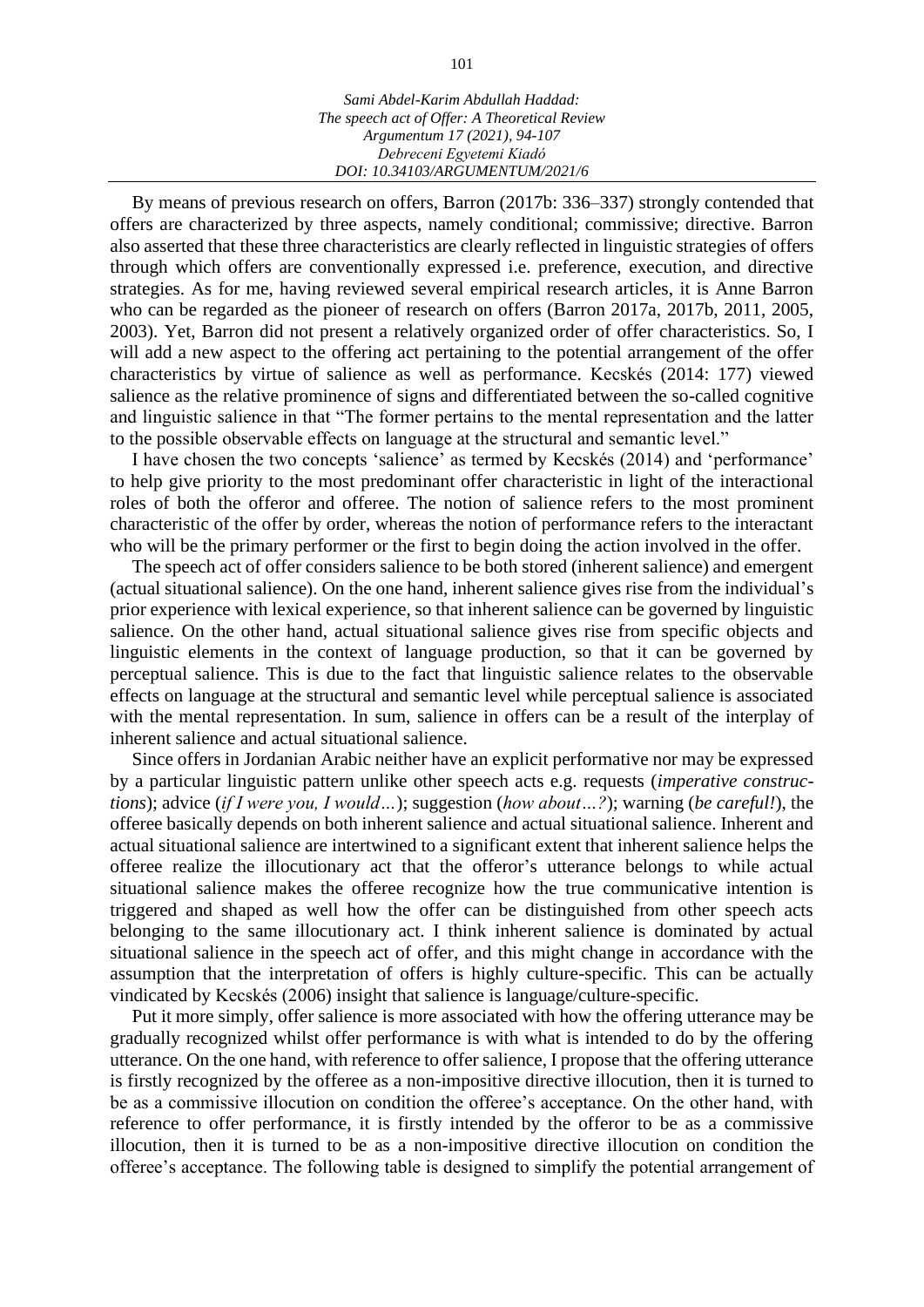By means of previous research on offers, Barron (2017b: 336–337) strongly contended that offers are characterized by three aspects, namely conditional; commissive; directive. Barron also asserted that these three characteristics are clearly reflected in linguistic strategies of offers through which offers are conventionally expressed i.e. preference, execution, and directive strategies. As for me, having reviewed several empirical research articles, it is Anne Barron who can be regarded as the pioneer of research on offers (Barron 2017a, 2017b, 2011, 2005, 2003). Yet, Barron did not present a relatively organized order of offer characteristics. So, I will add a new aspect to the offering act pertaining to the potential arrangement of the offer characteristics by virtue of salience as well as performance. Kecskés (2014: 177) viewed salience as the relative prominence of signs and differentiated between the so-called cognitive and linguistic salience in that "The former pertains to the mental representation and the latter to the possible observable effects on language at the structural and semantic level."

I have chosen the two concepts 'salience' as termed by Kecskés (2014) and 'performance' to help give priority to the most predominant offer characteristic in light of the interactional roles of both the offeror and offeree. The notion of salience refers to the most prominent characteristic of the offer by order, whereas the notion of performance refers to the interactant who will be the primary performer or the first to begin doing the action involved in the offer.

The speech act of offer considers salience to be both stored (inherent salience) and emergent (actual situational salience). On the one hand, inherent salience gives rise from the individual's prior experience with lexical experience, so that inherent salience can be governed by linguistic salience. On the other hand, actual situational salience gives rise from specific objects and linguistic elements in the context of language production, so that it can be governed by perceptual salience. This is due to the fact that linguistic salience relates to the observable effects on language at the structural and semantic level while perceptual salience is associated with the mental representation. In sum, salience in offers can be a result of the interplay of inherent salience and actual situational salience.

Since offers in Jordanian Arabic neither have an explicit performative nor may be expressed by a particular linguistic pattern unlike other speech acts e.g. requests (*imperative constructions*); advice (*if I were you, I would…*); suggestion (*how about…?*); warning (*be careful!*), the offeree basically depends on both inherent salience and actual situational salience. Inherent and actual situational salience are intertwined to a significant extent that inherent salience helps the offeree realize the illocutionary act that the offeror's utterance belongs to while actual situational salience makes the offeree recognize how the true communicative intention is triggered and shaped as well how the offer can be distinguished from other speech acts belonging to the same illocutionary act. I think inherent salience is dominated by actual situational salience in the speech act of offer, and this might change in accordance with the assumption that the interpretation of offers is highly culture-specific. This can be actually vindicated by Kecskés (2006) insight that salience is language/culture-specific.

Put it more simply, offer salience is more associated with how the offering utterance may be gradually recognized whilst offer performance is with what is intended to do by the offering utterance. On the one hand, with reference to offer salience, I propose that the offering utterance is firstly recognized by the offeree as a non-impositive directive illocution, then it is turned to be as a commissive illocution on condition the offeree's acceptance. On the other hand, with reference to offer performance, it is firstly intended by the offeror to be as a commissive illocution, then it is turned to be as a non-impositive directive illocution on condition the offeree's acceptance. The following table is designed to simplify the potential arrangement of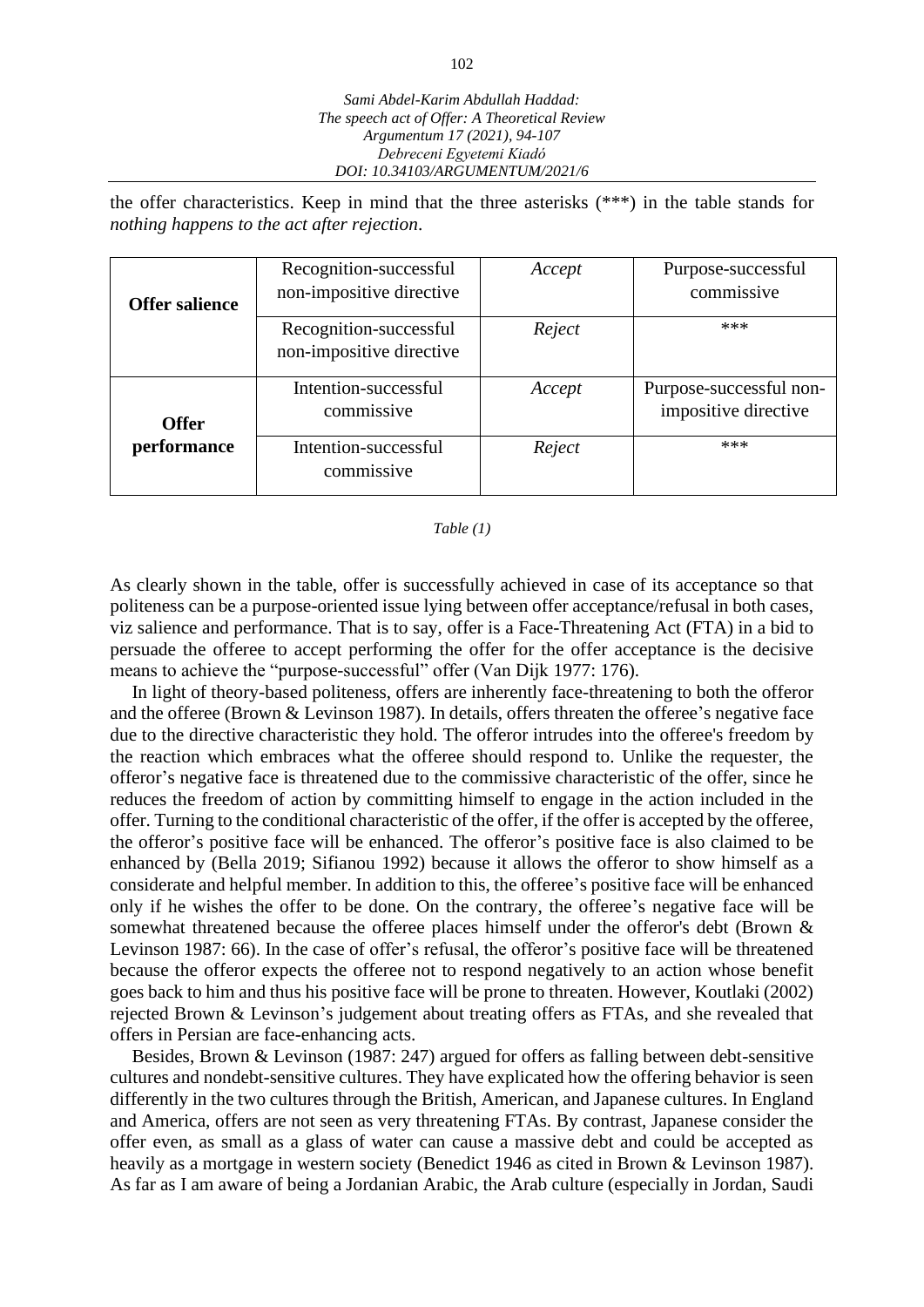the offer characteristics. Keep in mind that the three asterisks (\*\*\*) in the table stands for *nothing happens to the act after rejection*.

| <b>Offer salience</b> | Recognition-successful<br>non-impositive directive | Accept | Purpose-successful<br>commissive                |
|-----------------------|----------------------------------------------------|--------|-------------------------------------------------|
|                       | Recognition-successful<br>non-impositive directive | Reject | ***                                             |
| <b>Offer</b>          | Intention-successful<br>commissive                 | Accept | Purpose-successful non-<br>impositive directive |
| performance           | Intention-successful<br>commissive                 | Reject | ***                                             |

#### *Table (1)*

As clearly shown in the table, offer is successfully achieved in case of its acceptance so that politeness can be a purpose-oriented issue lying between offer acceptance/refusal in both cases, viz salience and performance. That is to say, offer is a Face-Threatening Act (FTA) in a bid to persuade the offeree to accept performing the offer for the offer acceptance is the decisive means to achieve the "purpose-successful" offer (Van Dijk 1977: 176).

In light of theory-based politeness, offers are inherently face-threatening to both the offeror and the offeree (Brown & Levinson 1987). In details, offers threaten the offeree's negative face due to the directive characteristic they hold. The offeror intrudes into the offeree's freedom by the reaction which embraces what the offeree should respond to. Unlike the requester, the offeror's negative face is threatened due to the commissive characteristic of the offer, since he reduces the freedom of action by committing himself to engage in the action included in the offer. Turning to the conditional characteristic of the offer, if the offer is accepted by the offeree, the offeror's positive face will be enhanced. The offeror's positive face is also claimed to be enhanced by (Bella 2019; Sifianou 1992) because it allows the offeror to show himself as a considerate and helpful member. In addition to this, the offeree's positive face will be enhanced only if he wishes the offer to be done. On the contrary, the offeree's negative face will be somewhat threatened because the offeree places himself under the offeror's debt (Brown & Levinson 1987: 66). In the case of offer's refusal, the offeror's positive face will be threatened because the offeror expects the offeree not to respond negatively to an action whose benefit goes back to him and thus his positive face will be prone to threaten. However, Koutlaki (2002) rejected Brown & Levinson's judgement about treating offers as FTAs, and she revealed that offers in Persian are face-enhancing acts.

Besides, Brown & Levinson (1987: 247) argued for offers as falling between debt-sensitive cultures and nondebt-sensitive cultures. They have explicated how the offering behavior is seen differently in the two cultures through the British, American, and Japanese cultures. In England and America, offers are not seen as very threatening FTAs. By contrast, Japanese consider the offer even, as small as a glass of water can cause a massive debt and could be accepted as heavily as a mortgage in western society (Benedict 1946 as cited in Brown & Levinson 1987). As far as I am aware of being a Jordanian Arabic, the Arab culture (especially in Jordan, Saudi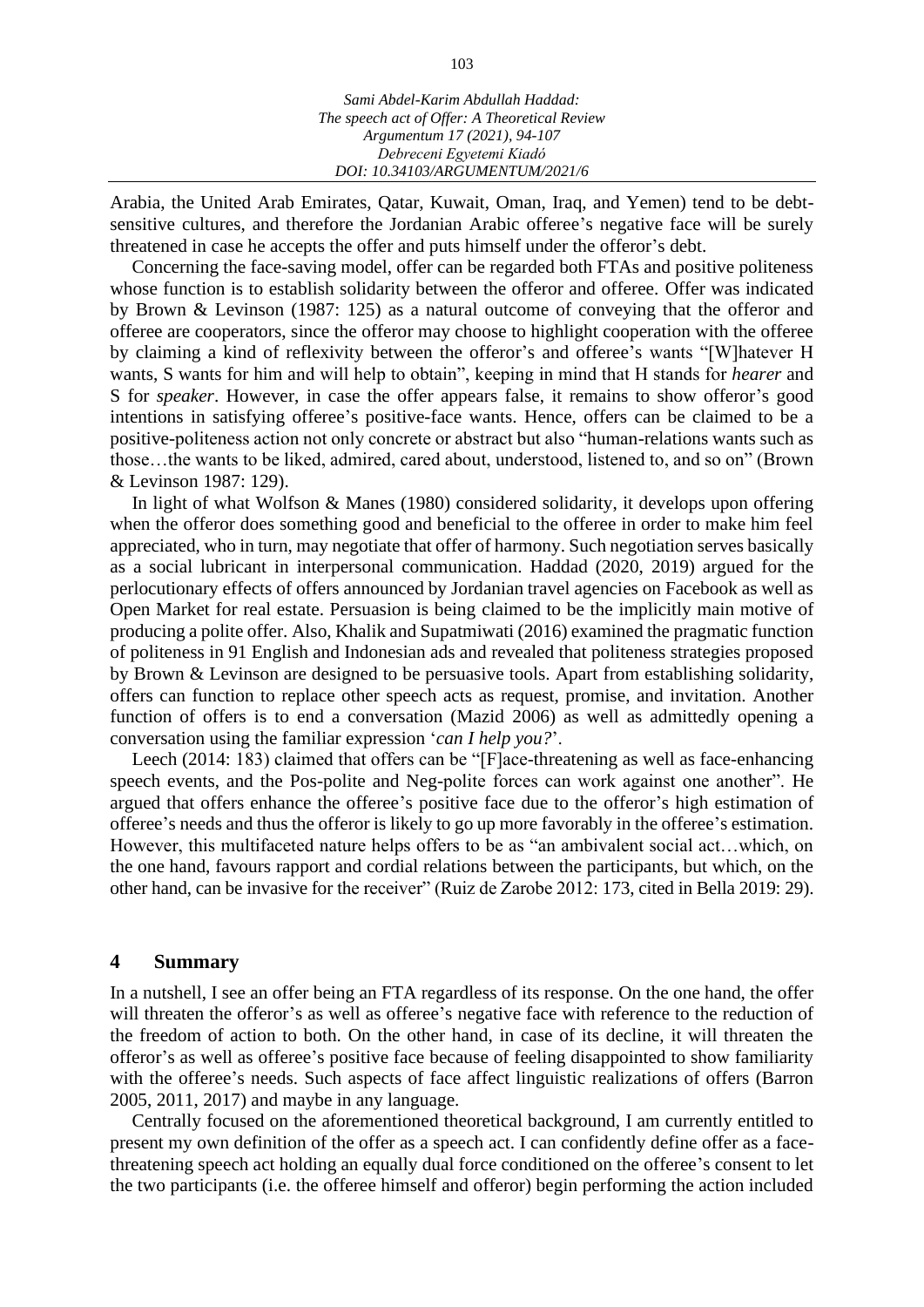Arabia, the United Arab Emirates, Qatar, Kuwait, Oman, Iraq, and Yemen) tend to be debtsensitive cultures, and therefore the Jordanian Arabic offeree's negative face will be surely threatened in case he accepts the offer and puts himself under the offeror's debt.

Concerning the face-saving model, offer can be regarded both FTAs and positive politeness whose function is to establish solidarity between the offeror and offeree. Offer was indicated by Brown & Levinson (1987: 125) as a natural outcome of conveying that the offeror and offeree are cooperators, since the offeror may choose to highlight cooperation with the offeree by claiming a kind of reflexivity between the offeror's and offeree's wants "[W]hatever H wants, S wants for him and will help to obtain", keeping in mind that H stands for *hearer* and S for *speaker*. However, in case the offer appears false, it remains to show offeror's good intentions in satisfying offeree's positive-face wants. Hence, offers can be claimed to be a positive-politeness action not only concrete or abstract but also "human-relations wants such as those…the wants to be liked, admired, cared about, understood, listened to, and so on" (Brown & Levinson 1987: 129).

In light of what Wolfson & Manes (1980) considered solidarity, it develops upon offering when the offeror does something good and beneficial to the offeree in order to make him feel appreciated, who in turn, may negotiate that offer of harmony. Such negotiation serves basically as a social lubricant in interpersonal communication. Haddad (2020, 2019) argued for the perlocutionary effects of offers announced by Jordanian travel agencies on Facebook as well as Open Market for real estate. Persuasion is being claimed to be the implicitly main motive of producing a polite offer. Also, Khalik and Supatmiwati (2016) examined the pragmatic function of politeness in 91 English and Indonesian ads and revealed that politeness strategies proposed by Brown & Levinson are designed to be persuasive tools. Apart from establishing solidarity, offers can function to replace other speech acts as request, promise, and invitation. Another function of offers is to end a conversation (Mazid 2006) as well as admittedly opening a conversation using the familiar expression '*can I help you?*'.

Leech (2014: 183) claimed that offers can be "[F]ace-threatening as well as face-enhancing speech events, and the Pos-polite and Neg-polite forces can work against one another". He argued that offers enhance the offeree's positive face due to the offeror's high estimation of offeree's needs and thus the offeror is likely to go up more favorably in the offeree's estimation. However, this multifaceted nature helps offers to be as "an ambivalent social act…which, on the one hand, favours rapport and cordial relations between the participants, but which, on the other hand, can be invasive for the receiver" (Ruiz de Zarobe 2012: 173, cited in Bella 2019: 29).

## **4 Summary**

In a nutshell, I see an offer being an FTA regardless of its response. On the one hand, the offer will threaten the offeror's as well as offeree's negative face with reference to the reduction of the freedom of action to both. On the other hand, in case of its decline, it will threaten the offeror's as well as offeree's positive face because of feeling disappointed to show familiarity with the offeree's needs. Such aspects of face affect linguistic realizations of offers (Barron 2005, 2011, 2017) and maybe in any language.

Centrally focused on the aforementioned theoretical background, I am currently entitled to present my own definition of the offer as a speech act. I can confidently define offer as a facethreatening speech act holding an equally dual force conditioned on the offeree's consent to let the two participants (i.e. the offeree himself and offeror) begin performing the action included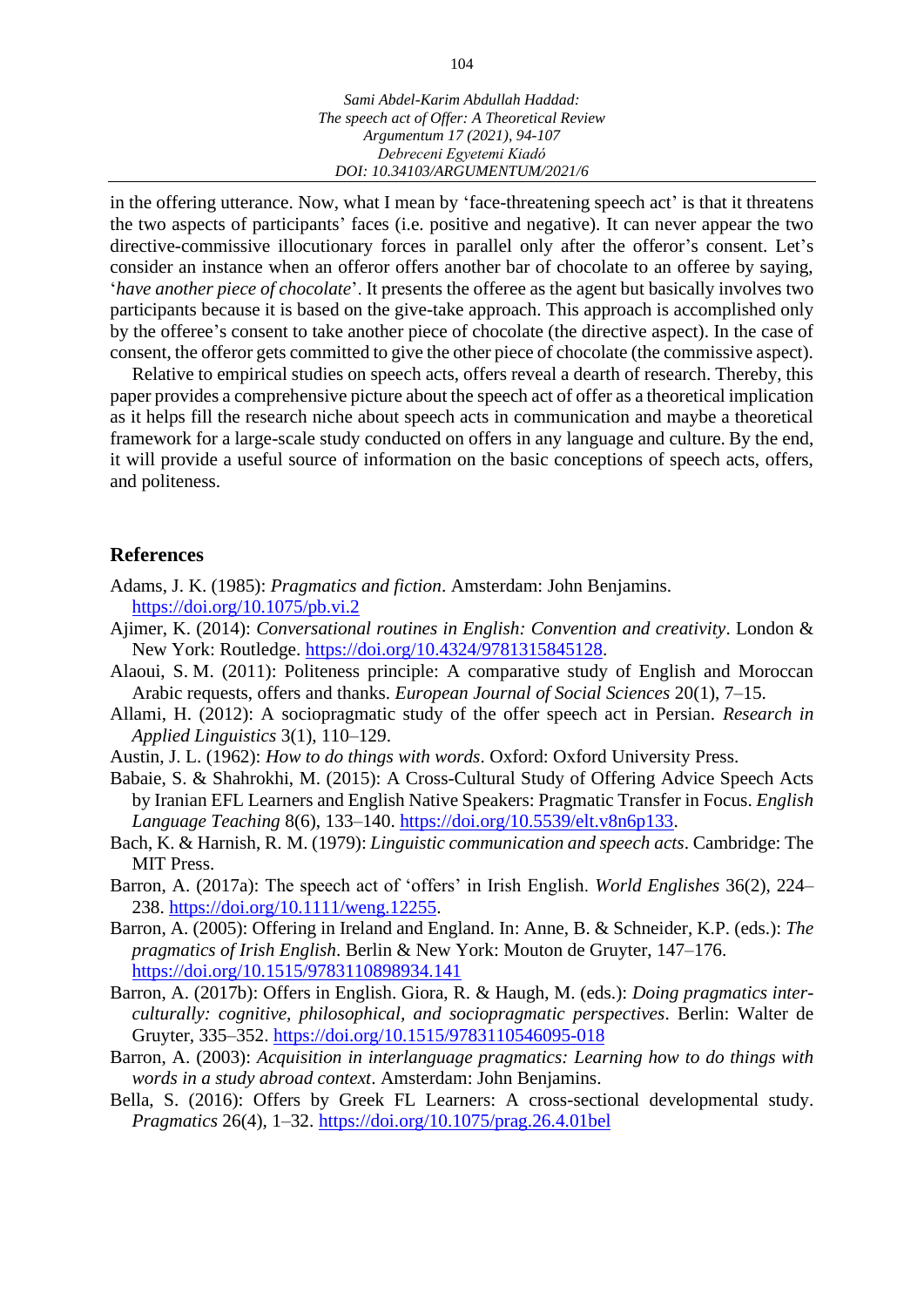in the offering utterance. Now, what I mean by 'face-threatening speech act' is that it threatens the two aspects of participants' faces (i.e. positive and negative). It can never appear the two directive-commissive illocutionary forces in parallel only after the offeror's consent. Let's consider an instance when an offeror offers another bar of chocolate to an offeree by saying, '*have another piece of chocolate*'. It presents the offeree as the agent but basically involves two participants because it is based on the give-take approach. This approach is accomplished only by the offeree's consent to take another piece of chocolate (the directive aspect). In the case of consent, the offeror gets committed to give the other piece of chocolate (the commissive aspect).

Relative to empirical studies on speech acts, offers reveal a dearth of research. Thereby, this paper provides a comprehensive picture about the speech act of offer as a theoretical implication as it helps fill the research niche about speech acts in communication and maybe a theoretical framework for a large-scale study conducted on offers in any language and culture. By the end, it will provide a useful source of information on the basic conceptions of speech acts, offers, and politeness.

### **References**

- Adams, J. K. (1985): *Pragmatics and fiction*. Amsterdam: John Benjamins. <https://doi.org/10.1075/pb.vi.2>
- Ajimer, K. (2014): *Conversational routines in English: Convention and creativity*. London & New York: Routledge. [https://doi.org/10.4324/9781315845128.](https://doi.org/10.4324/9781315845128)
- Alaoui, S. M. (2011): Politeness principle: A comparative study of English and Moroccan Arabic requests, offers and thanks. *European Journal of Social Sciences* 20(1), 7–15.
- Allami, H. (2012): A sociopragmatic study of the offer speech act in Persian. *Research in Applied Linguistics* 3(1), 110–129.
- Austin, J. L. (1962): *How to do things with words*. Oxford: Oxford University Press.
- Babaie, S. & Shahrokhi, M. (2015): A Cross-Cultural Study of Offering Advice Speech Acts by Iranian EFL Learners and English Native Speakers: Pragmatic Transfer in Focus. *English Language Teaching* 8(6), 133–140. [https://doi.org/10.5539/elt.v8n6p133.](https://doi.org/10.5539/elt.v8n6p133)
- Bach, K. & Harnish, R. M. (1979): *Linguistic communication and speech acts*. Cambridge: The MIT Press.
- Barron, A. (2017a): The speech act of 'offers' in Irish English. *World Englishes* 36(2), 224– 238. [https://doi.org/10.1111/weng.12255.](https://doi.org/10.1111/weng.12255)
- Barron, A. (2005): Offering in Ireland and England. In: Anne, B. & Schneider, K.P. (eds.): *The pragmatics of Irish English*. Berlin & New York: Mouton de Gruyter, 147–176. <https://doi.org/10.1515/9783110898934.141>
- Barron, A. (2017b): Offers in English. Giora, R. & Haugh, M. (eds.): *Doing pragmatics interculturally: cognitive, philosophical, and sociopragmatic perspectives*. Berlin: Walter de Gruyter, 335–352. <https://doi.org/10.1515/9783110546095-018>
- Barron, A. (2003): *Acquisition in interlanguage pragmatics: Learning how to do things with words in a study abroad context*. Amsterdam: John Benjamins.
- Bella, S. (2016): Offers by Greek FL Learners: A cross-sectional developmental study. *Pragmatics* 26(4), 1–32. <https://doi.org/10.1075/prag.26.4.01bel>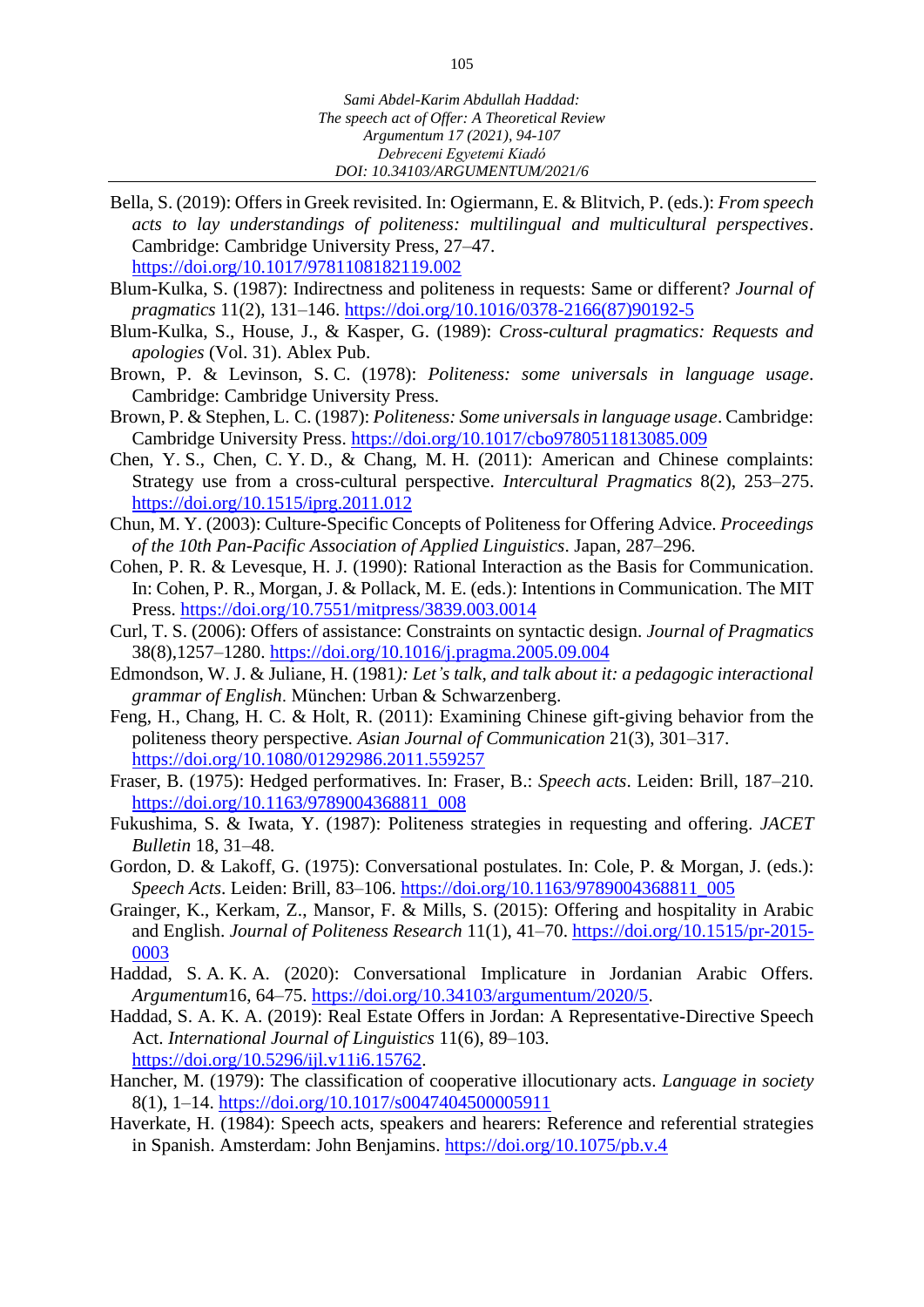Bella, S. (2019): Offers in Greek revisited. In: Ogiermann, E. & Blitvich, P. (eds.): *From speech acts to lay understandings of politeness: multilingual and multicultural perspectives*. Cambridge: Cambridge University Press, 27–47.

<https://doi.org/10.1017/9781108182119.002>

- Blum-Kulka, S. (1987): Indirectness and politeness in requests: Same or different? *Journal of pragmatics* 11(2), 131–146. [https://doi.org/10.1016/0378-2166\(87\)90192-5](https://doi.org/10.1016/0378-2166(87)90192-5)
- Blum-Kulka, S., House, J., & Kasper, G. (1989): *Cross-cultural pragmatics: Requests and apologies* (Vol. 31). Ablex Pub.
- Brown, P. & Levinson, S. C. (1978): *Politeness: some universals in language usage*. Cambridge: Cambridge University Press.
- Brown, P. & Stephen, L. C. (1987): *Politeness: Some universals in language usage*. Cambridge: Cambridge University Press. <https://doi.org/10.1017/cbo9780511813085.009>
- Chen, Y. S., Chen, C. Y. D., & Chang, M. H. (2011): American and Chinese complaints: Strategy use from a cross-cultural perspective. *Intercultural Pragmatics* 8(2), 253–275. <https://doi.org/10.1515/iprg.2011.012>
- [Chun, M. Y. \(2003\): Culture-Specific Concepts of Politeness for Offering Advice.](https://www.google.com/search?client=firefox-b-d&sxsrf=ALeKk01-zh-sEj0mSCLfll29rnHfBNETzw:1594127899287&q=Chun,+M.+Y.+(2003)+Culture-Specific+Concepts+of+Politeness+for+Offering+Advice.Proceedings+of+the+10th+Pan-Pacific+Association+of+Applied+Linguistics,+Japan,287-296&spell=1&sa=X&ved=2ahUKEwitlaeZnbvqAhXMUMAKHb6QCK0QBSgAegQICxAl) *Proceedings [of the 10th Pan-Pacific Association of Applied Linguistics](https://www.google.com/search?client=firefox-b-d&sxsrf=ALeKk01-zh-sEj0mSCLfll29rnHfBNETzw:1594127899287&q=Chun,+M.+Y.+(2003)+Culture-Specific+Concepts+of+Politeness+for+Offering+Advice.Proceedings+of+the+10th+Pan-Pacific+Association+of+Applied+Linguistics,+Japan,287-296&spell=1&sa=X&ved=2ahUKEwitlaeZnbvqAhXMUMAKHb6QCK0QBSgAegQICxAl)*. Japan, 287–296.
- Cohen, P. R. & Levesque, H. J. (1990): Rational Interaction as the Basis for Communication. In: Cohen, P. R., Morgan, J. & Pollack, M. E. (eds.): Intentions in Communication. The MIT Press. <https://doi.org/10.7551/mitpress/3839.003.0014>
- Curl, T. S. (2006): Offers of assistance: Constraints on syntactic design. *Journal of Pragmatics* 38(8),1257–1280. <https://doi.org/10.1016/j.pragma.2005.09.004>
- Edmondson, W. J. & Juliane, H. (1981*): Let's talk, and talk about it: a pedagogic interactional grammar of English*. München: Urban & Schwarzenberg.
- Feng, H., Chang, H. C. & Holt, R. (2011): Examining Chinese gift-giving behavior from the politeness theory perspective. *Asian Journal of Communication* 21(3), 301–317. <https://doi.org/10.1080/01292986.2011.559257>
- Fraser, B. (1975): Hedged performatives. In: Fraser, B.: *Speech acts*. Leiden: Brill, 187–210. [https://doi.org/10.1163/9789004368811\\_008](https://doi.org/10.1163/9789004368811_008)
- Fukushima, S. & Iwata, Y. (1987): Politeness strategies in requesting and offering. *JACET Bulletin* 18, 31–48.
- Gordon, D. & Lakoff, G. (1975): Conversational postulates. In: Cole, P. & Morgan, J. (eds.): *Speech Acts*. Leiden: Brill, 83–106. [https://doi.org/10.1163/9789004368811\\_005](https://doi.org/10.1163/9789004368811_005)
- Grainger, K., Kerkam, Z., Mansor, F. & Mills, S. (2015): Offering and hospitality in Arabic and English. *Journal of Politeness Research* 11(1), 41–70. [https://doi.org/10.1515/pr-2015-](https://doi.org/10.1515/pr-2015-0003) [0003](https://doi.org/10.1515/pr-2015-0003)
- Haddad, S. A. K. A. (2020): Conversational Implicature in Jordanian Arabic Offers. *Argumentum*16, 64–75. [https://doi.org/10.34103/argumentum/2020/5.](https://doi.org/10.34103/argumentum/2020/5)
- Haddad, S. A. K. A. (2019): Real Estate Offers in Jordan: A Representative-Directive Speech Act. *International Journal of Linguistics* 11(6), 89–103. [https://doi.org/10.5296/ijl.v11i6.15762.](https://doi.org/10.5296/ijl.v11i6.15762)
- Hancher, M. (1979): The classification of cooperative illocutionary acts. *Language in society* 8(1), 1–14. <https://doi.org/10.1017/s0047404500005911>
- Haverkate, H. (1984): Speech acts, speakers and hearers: Reference and referential strategies in Spanish. Amsterdam: John Benjamins.<https://doi.org/10.1075/pb.v.4>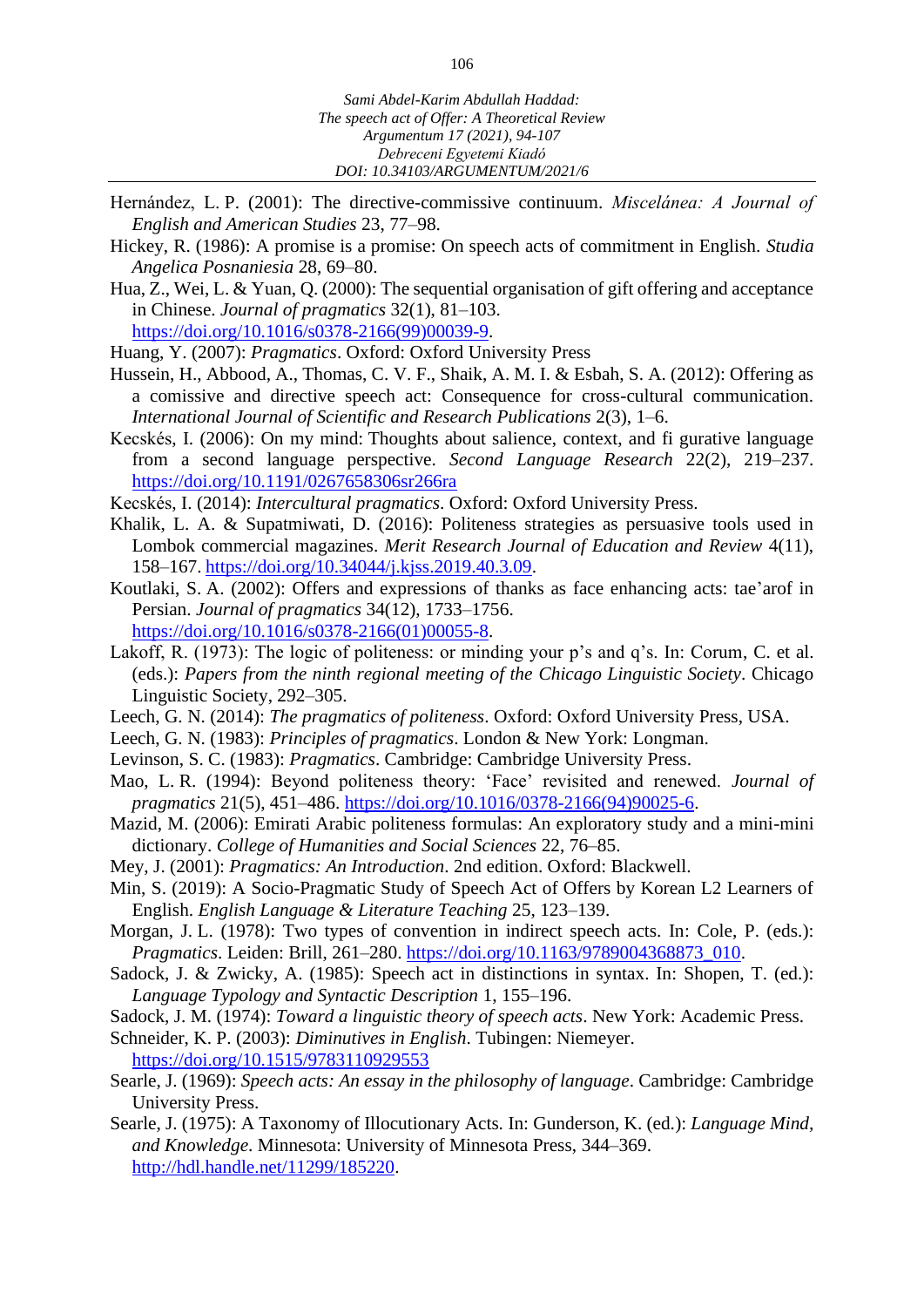- Hernández, L. P. (2001): The directive-commissive continuum. *Miscelánea: A Journal of English and American Studies* 23, 77–98.
- Hickey, R. (1986): A promise is a promise: On speech acts of commitment in English. *Studia Angelica Posnaniesia* 28, 69–80.
- Hua, Z., Wei, L. & Yuan, Q. (2000): The sequential organisation of gift offering and acceptance in Chinese. *Journal of pragmatics* 32(1), 81–103. [https://doi.org/10.1016/s0378-2166\(99\)00039-9.](https://doi.org/10.1016/s0378-2166(99)00039-9)

Huang, Y. (2007): *Pragmatics*. Oxford: Oxford University Press

- Hussein, H., Abbood, A., Thomas, C. V. F., Shaik, A. M. I. & Esbah, S. A. (2012): Offering as a comissive and directive speech act: Consequence for cross-cultural communication. *International Journal of Scientific and Research Publications* 2(3), 1–6.
- Kecskés, I. (2006): On my mind: Thoughts about salience, context, and fi gurative language from a second language perspective. *Second Language Research* 22(2), 219–237. [https://doi.org/10.1191/0267658306sr266ra](https://doi.org/10.1191%2F0267658306sr266ra)

Kecskés, I. (2014): *Intercultural pragmatics*. Oxford: Oxford University Press.

- Khalik, L. A. & Supatmiwati, D. (2016): Politeness strategies as persuasive tools used in Lombok commercial magazines. *Merit Research Journal of Education and Review* 4(11), 158–167. [https://doi.org/10.34044/j.kjss.2019.40.3.09.](https://doi.org/10.34044/j.kjss.2019.40.3.09)
- Koutlaki, S. A. (2002): Offers and expressions of thanks as face enhancing acts: tae'arof in Persian. *Journal of pragmatics* 34(12), 1733–1756. [https://doi.org/10.1016/s0378-2166\(01\)00055-8.](https://doi.org/10.1016/s0378-2166(01)00055-8)
- Lakoff, R. (1973): The logic of politeness: or minding your p's and q's. In: Corum, C. et al. (eds.): *Papers from the ninth regional meeting of the Chicago Linguistic Society*. Chicago Linguistic Society, 292–305.
- Leech, G. N. (2014): *The pragmatics of politeness*. Oxford: Oxford University Press, USA.
- Leech, G. N. (1983): *Principles of pragmatics*. London & New York: Longman.
- Levinson, S. C. (1983): *Pragmatics*. Cambridge: Cambridge University Press.
- Mao, L. R. (1994): Beyond politeness theory: 'Face' revisited and renewed. *Journal of pragmatics* 21(5), 451–486. [https://doi.org/10.1016/0378-2166\(94\)90025-6.](https://doi.org/10.1016/0378-2166(94)90025-6)
- Mazid, M. (2006): Emirati Arabic politeness formulas: An exploratory study and a mini-mini dictionary. *College of Humanities and Social Sciences* 22, 76–85.
- Mey, J. (2001): *Pragmatics: An Introduction*. 2nd edition. Oxford: Blackwell.
- Min, S. (2019): A Socio-Pragmatic Study of Speech Act of Offers by Korean L2 Learners of English. *English Language & Literature Teaching* 25, 123–139.
- Morgan, J. L. (1978): Two types of convention in indirect speech acts. In: Cole, P. (eds.): *Pragmatics*. Leiden: Brill, 261–280. [https://doi.org/10.1163/9789004368873\\_010.](https://doi.org/10.1163/9789004368873_010)
- Sadock, J. & Zwicky, A. (1985): Speech act in distinctions in syntax. In: Shopen, T. (ed.): *Language Typology and Syntactic Description* 1, 155–196.
- Sadock, J. M. (1974): *Toward a linguistic theory of speech acts*. New York: Academic Press.
- Schneider, K. P. (2003): *Diminutives in English*. Tubingen: Niemeyer. <https://doi.org/10.1515/9783110929553>
- Searle, J. (1969): *Speech acts: An essay in the philosophy of language*. Cambridge: Cambridge University Press.
- Searle, J. (1975): A Taxonomy of Illocutionary Acts*.* In: Gunderson, K. (ed.): *Language Mind, and Knowledge*. Minnesota: University of Minnesota Press, 344–369. [http://hdl.handle.net/11299/185220.](http://hdl.handle.net/11299/185220)